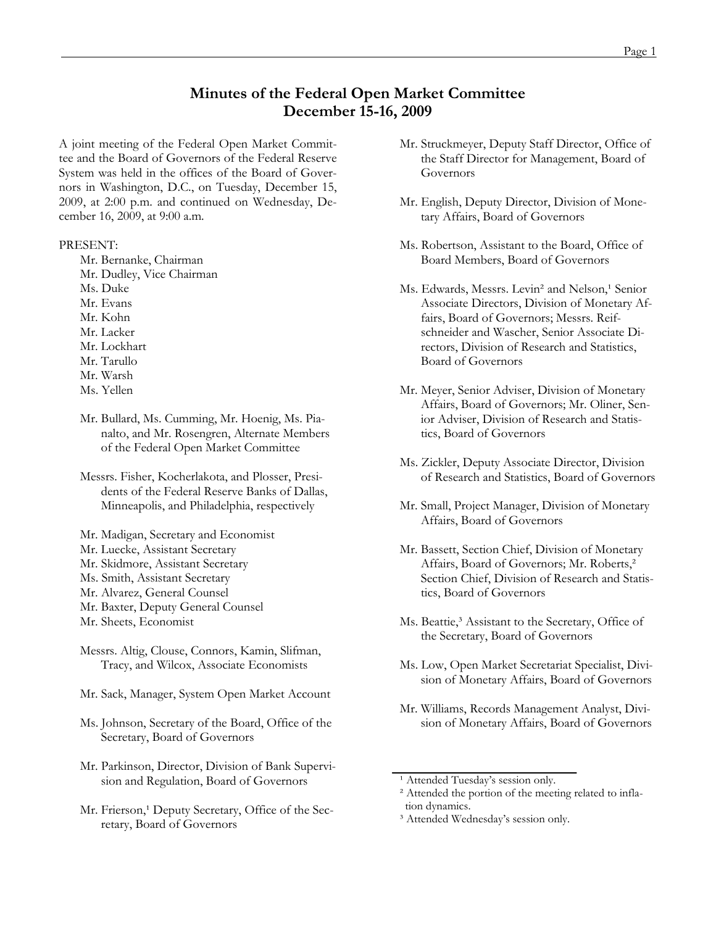# **Minutes of the Federal Open Market Committee December 15-16, 2009**

A joint meeting of the Federal Open Market Committee and the Board of Governors of the Federal Reserve System was held in the offices of the Board of Governors in Washington, D.C., on Tuesday, December 15, 2009, at 2:00 p.m. and continued on Wednesday, December 16, 2009, at 9:00 a.m.

#### PRESENT:

- Mr. Bernanke, Chairman
- Mr. Dudley, Vice Chairman
- Ms. Duke
- Mr. Evans
- Mr. Kohn
- Mr. Lacker
- Mr. Lockhart
- Mr. Tarullo
- Mr. Warsh
- Ms. Yellen
- Mr. Bullard, Ms. Cumming, Mr. Hoenig, Ms. Pianalto, and Mr. Rosengren, Alternate Members of the Federal Open Market Committee
- Messrs. Fisher, Kocherlakota, and Plosser, Presidents of the Federal Reserve Banks of Dallas, Minneapolis, and Philadelphia, respectively
- Mr. Madigan, Secretary and Economist
- Mr. Luecke, Assistant Secretary
- Mr. Skidmore, Assistant Secretary
- Ms. Smith, Assistant Secretary
- Mr. Alvarez, General Counsel
- Mr. Baxter, Deputy General Counsel
- Mr. Sheets, Economist
- Messrs. Altig, Clouse, Connors, Kamin, Slifman, Tracy, and Wilcox, Associate Economists
- Mr. Sack, Manager, System Open Market Account
- Ms. Johnson, Secretary of the Board, Office of the Secretary, Board of Governors
- Mr. Parkinson, Director, Division of Bank Supervision and Regulation, Board of Governors
- Mr. Frierson,<sup>1</sup> Deputy Secretary, Office of the Secretary, Board of Governors
- Mr. Struckmeyer, Deputy Staff Director, Office of the Staff Director for Management, Board of Governors
- Mr. English, Deputy Director, Division of Monetary Affairs, Board of Governors
- Ms. Robertson, Assistant to the Board, Office of Board Members, Board of Governors
- Ms. Edwards, Messrs. Levin<sup>2</sup> and Nelson,<sup>1</sup> Senior Associate Directors, Division of Monetary Affairs, Board of Governors; Messrs. Reifschneider and Wascher, Senior Associate Directors, Division of Research and Statistics, Board of Governors
- Mr. Meyer, Senior Adviser, Division of Monetary Affairs, Board of Governors; Mr. Oliner, Senior Adviser, Division of Research and Statistics, Board of Governors
- Ms. Zickler, Deputy Associate Director, Division of Research and Statistics, Board of Governors
- Mr. Small, Project Manager, Division of Monetary Affairs, Board of Governors
- Mr. Bassett, Section Chief, Division of Monetary Affairs, Board of Governors; Mr. Roberts,<sup>2</sup> Section Chief, Division of Research and Statistics, Board of Governors
- Ms. Beattie,<sup>3</sup> Assistant to the Secretary, Office of the Secretary, Board of Governors
- Ms. Low, Open Market Secretariat Specialist, Division of Monetary Affairs, Board of Governors
- Mr. Williams, Records Management Analyst, Division of Monetary Affairs, Board of Governors

<sup>&</sup>lt;sup>1</sup> Attended Tuesday's session only.

² Attended the portion of the meeting related to inflation dynamics.

<sup>&</sup>lt;sup>3</sup> Attended Wednesday's session only.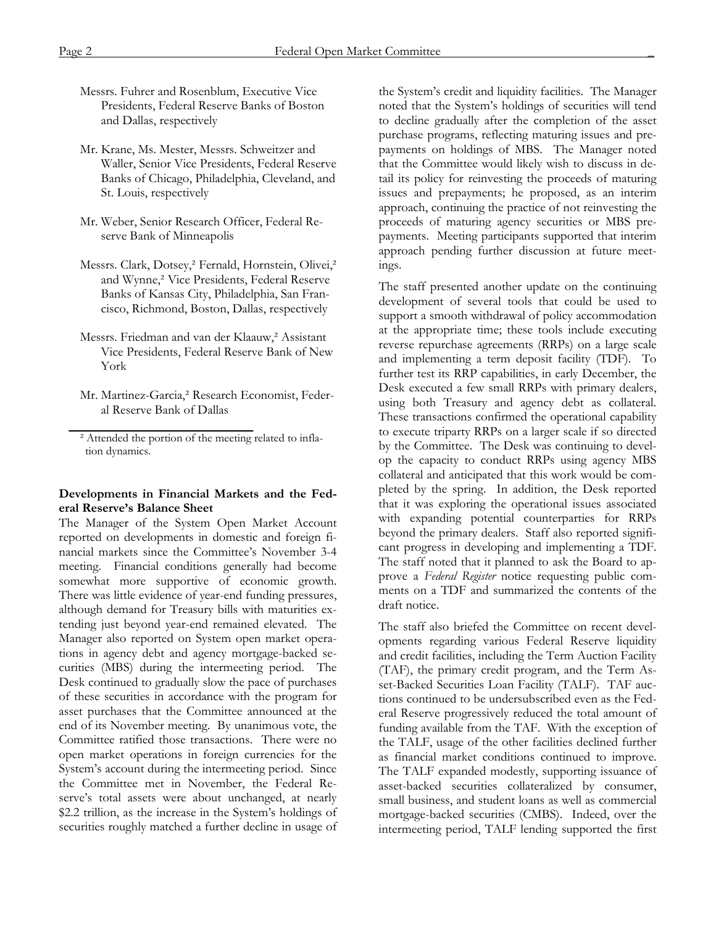Messrs. Fuhrer and Rosenblum, Executive Vice Presidents, Federal Reserve Banks of Boston and Dallas, respectively

- Mr. Krane, Ms. Mester, Messrs. Schweitzer and Waller, Senior Vice Presidents, Federal Reserve Banks of Chicago, Philadelphia, Cleveland, and St. Louis, respectively
- Mr. Weber, Senior Research Officer, Federal Reserve Bank of Minneapolis
- Messrs. Clark, Dotsey,<sup>2</sup> Fernald, Hornstein, Olivei,<sup>2</sup> and Wynne,² Vice Presidents, Federal Reserve Banks of Kansas City, Philadelphia, San Francisco, Richmond, Boston, Dallas, respectively
- Messrs. Friedman and van der Klaauw,<sup>2</sup> Assistant Vice Presidents, Federal Reserve Bank of New York
- Mr. Martinez-Garcia,² Research Economist, Federal Reserve Bank of Dallas

### **Developments in Financial Markets and the Federal Reserve's Balance Sheet**

The Manager of the System Open Market Account reported on developments in domestic and foreign financial markets since the Committee's November 3-4 meeting. Financial conditions generally had become somewhat more supportive of economic growth. There was little evidence of year-end funding pressures, although demand for Treasury bills with maturities extending just beyond year-end remained elevated. The Manager also reported on System open market operations in agency debt and agency mortgage-backed securities (MBS) during the intermeeting period. The Desk continued to gradually slow the pace of purchases of these securities in accordance with the program for asset purchases that the Committee announced at the end of its November meeting. By unanimous vote, the Committee ratified those transactions. There were no open market operations in foreign currencies for the System's account during the intermeeting period. Since the Committee met in November, the Federal Reserve's total assets were about unchanged, at nearly \$2.2 trillion, as the increase in the System's holdings of securities roughly matched a further decline in usage of

the System's credit and liquidity facilities. The Manager noted that the System's holdings of securities will tend to decline gradually after the completion of the asset purchase programs, reflecting maturing issues and prepayments on holdings of MBS. The Manager noted that the Committee would likely wish to discuss in detail its policy for reinvesting the proceeds of maturing issues and prepayments; he proposed, as an interim approach, continuing the practice of not reinvesting the proceeds of maturing agency securities or MBS prepayments. Meeting participants supported that interim approach pending further discussion at future meetings.

The staff presented another update on the continuing development of several tools that could be used to support a smooth withdrawal of policy accommodation at the appropriate time; these tools include executing reverse repurchase agreements (RRPs) on a large scale and implementing a term deposit facility (TDF). To further test its RRP capabilities, in early December, the Desk executed a few small RRPs with primary dealers, using both Treasury and agency debt as collateral. These transactions confirmed the operational capability to execute triparty RRPs on a larger scale if so directed by the Committee. The Desk was continuing to develop the capacity to conduct RRPs using agency MBS collateral and anticipated that this work would be completed by the spring. In addition, the Desk reported that it was exploring the operational issues associated with expanding potential counterparties for RRPs beyond the primary dealers. Staff also reported significant progress in developing and implementing a TDF. The staff noted that it planned to ask the Board to approve a *Federal Register* notice requesting public comments on a TDF and summarized the contents of the draft notice.

The staff also briefed the Committee on recent developments regarding various Federal Reserve liquidity and credit facilities, including the Term Auction Facility (TAF), the primary credit program, and the Term Asset-Backed Securities Loan Facility (TALF). TAF auctions continued to be undersubscribed even as the Federal Reserve progressively reduced the total amount of funding available from the TAF. With the exception of the TALF, usage of the other facilities declined further as financial market conditions continued to improve. The TALF expanded modestly, supporting issuance of asset-backed securities collateralized by consumer, small business, and student loans as well as commercial mortgage-backed securities (CMBS). Indeed, over the intermeeting period, TALF lending supported the first

<sup>&</sup>lt;sup>2</sup> Attended the portion of the meeting related to inflation dynamics.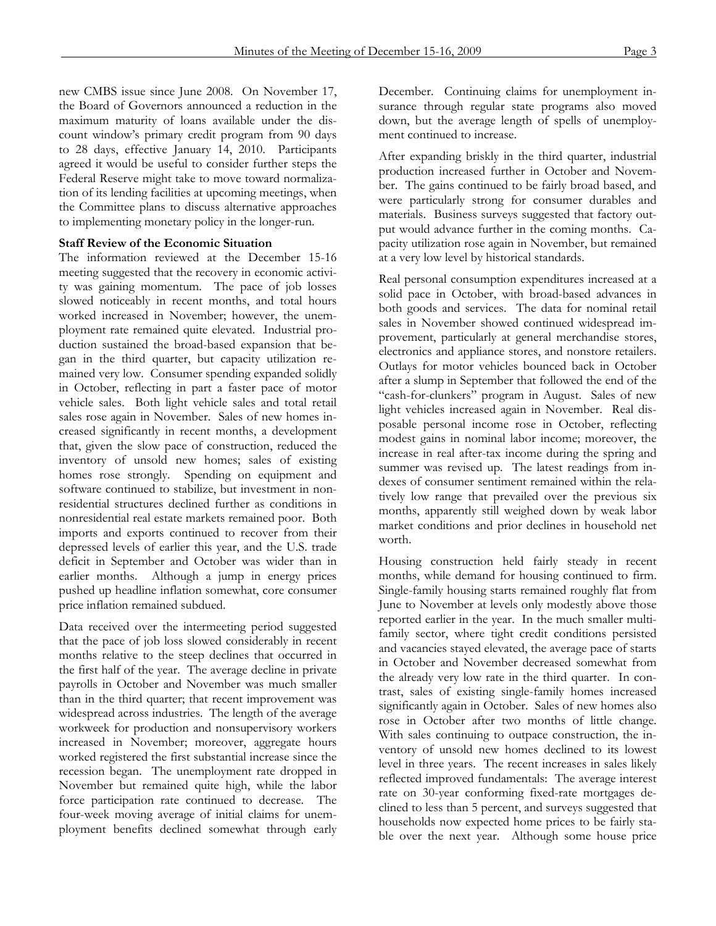new CMBS issue since June 2008. On November 17, the Board of Governors announced a reduction in the maximum maturity of loans available under the discount window's primary credit program from 90 days to 28 days, effective January 14, 2010. Participants agreed it would be useful to consider further steps the Federal Reserve might take to move toward normalization of its lending facilities at upcoming meetings, when the Committee plans to discuss alternative approaches to implementing monetary policy in the longer-run.

# **Staff Review of the Economic Situation**

The information reviewed at the December 15-16 meeting suggested that the recovery in economic activity was gaining momentum. The pace of job losses slowed noticeably in recent months, and total hours worked increased in November; however, the unemployment rate remained quite elevated. Industrial production sustained the broad-based expansion that began in the third quarter, but capacity utilization remained very low. Consumer spending expanded solidly in October, reflecting in part a faster pace of motor vehicle sales. Both light vehicle sales and total retail sales rose again in November. Sales of new homes increased significantly in recent months, a development that, given the slow pace of construction, reduced the inventory of unsold new homes; sales of existing homes rose strongly. Spending on equipment and software continued to stabilize, but investment in nonresidential structures declined further as conditions in nonresidential real estate markets remained poor. Both imports and exports continued to recover from their depressed levels of earlier this year, and the U.S. trade deficit in September and October was wider than in earlier months. Although a jump in energy prices pushed up headline inflation somewhat, core consumer price inflation remained subdued.

Data received over the intermeeting period suggested that the pace of job loss slowed considerably in recent months relative to the steep declines that occurred in the first half of the year. The average decline in private payrolls in October and November was much smaller than in the third quarter; that recent improvement was widespread across industries. The length of the average workweek for production and nonsupervisory workers increased in November; moreover, aggregate hours worked registered the first substantial increase since the recession began. The unemployment rate dropped in November but remained quite high, while the labor force participation rate continued to decrease. The four-week moving average of initial claims for unemployment benefits declined somewhat through early

December. Continuing claims for unemployment insurance through regular state programs also moved down, but the average length of spells of unemployment continued to increase.

After expanding briskly in the third quarter, industrial production increased further in October and November. The gains continued to be fairly broad based, and were particularly strong for consumer durables and materials. Business surveys suggested that factory output would advance further in the coming months. Capacity utilization rose again in November, but remained at a very low level by historical standards.

Real personal consumption expenditures increased at a solid pace in October, with broad-based advances in both goods and services. The data for nominal retail sales in November showed continued widespread improvement, particularly at general merchandise stores, electronics and appliance stores, and nonstore retailers. Outlays for motor vehicles bounced back in October after a slump in September that followed the end of the "cash-for-clunkers" program in August. Sales of new light vehicles increased again in November. Real disposable personal income rose in October, reflecting modest gains in nominal labor income; moreover, the increase in real after-tax income during the spring and summer was revised up. The latest readings from indexes of consumer sentiment remained within the relatively low range that prevailed over the previous six months, apparently still weighed down by weak labor market conditions and prior declines in household net worth.

Housing construction held fairly steady in recent months, while demand for housing continued to firm. Single-family housing starts remained roughly flat from June to November at levels only modestly above those reported earlier in the year. In the much smaller multifamily sector, where tight credit conditions persisted and vacancies stayed elevated, the average pace of starts in October and November decreased somewhat from the already very low rate in the third quarter. In contrast, sales of existing single-family homes increased significantly again in October. Sales of new homes also rose in October after two months of little change. With sales continuing to outpace construction, the inventory of unsold new homes declined to its lowest level in three years. The recent increases in sales likely reflected improved fundamentals: The average interest rate on 30-year conforming fixed-rate mortgages declined to less than 5 percent, and surveys suggested that households now expected home prices to be fairly stable over the next year. Although some house price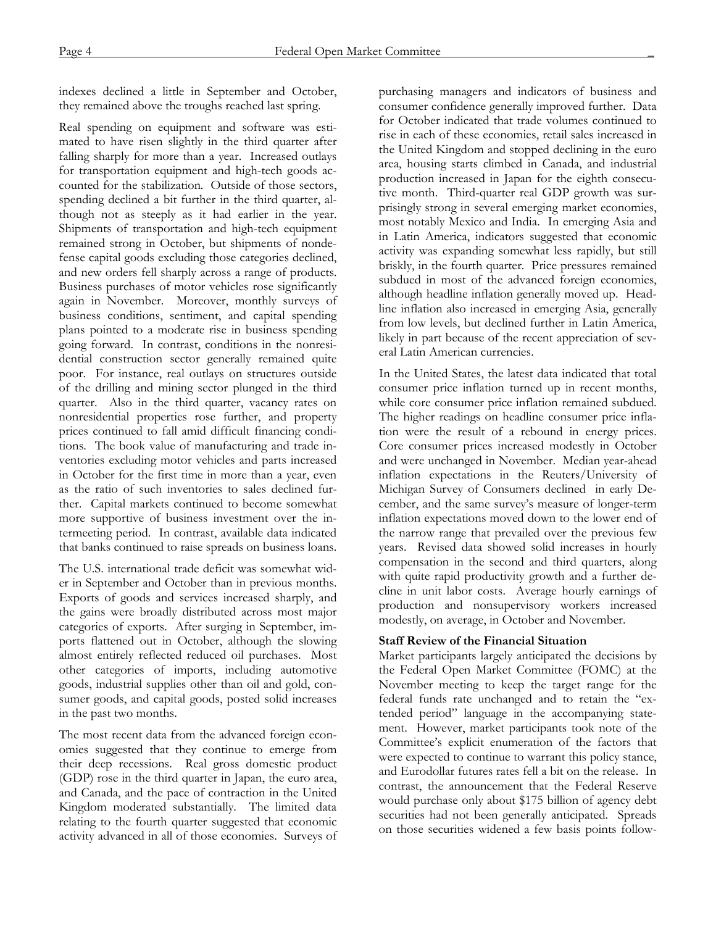indexes declined a little in September and October, they remained above the troughs reached last spring.

Real spending on equipment and software was estimated to have risen slightly in the third quarter after falling sharply for more than a year. Increased outlays for transportation equipment and high-tech goods accounted for the stabilization. Outside of those sectors, spending declined a bit further in the third quarter, although not as steeply as it had earlier in the year. Shipments of transportation and high-tech equipment remained strong in October, but shipments of nondefense capital goods excluding those categories declined, and new orders fell sharply across a range of products. Business purchases of motor vehicles rose significantly again in November. Moreover, monthly surveys of business conditions, sentiment, and capital spending plans pointed to a moderate rise in business spending going forward. In contrast, conditions in the nonresidential construction sector generally remained quite poor. For instance, real outlays on structures outside of the drilling and mining sector plunged in the third quarter. Also in the third quarter, vacancy rates on nonresidential properties rose further, and property prices continued to fall amid difficult financing conditions. The book value of manufacturing and trade inventories excluding motor vehicles and parts increased in October for the first time in more than a year, even as the ratio of such inventories to sales declined further. Capital markets continued to become somewhat more supportive of business investment over the intermeeting period. In contrast, available data indicated that banks continued to raise spreads on business loans.

The U.S. international trade deficit was somewhat wider in September and October than in previous months. Exports of goods and services increased sharply, and the gains were broadly distributed across most major categories of exports. After surging in September, imports flattened out in October, although the slowing almost entirely reflected reduced oil purchases. Most other categories of imports, including automotive goods, industrial supplies other than oil and gold, consumer goods, and capital goods, posted solid increases in the past two months.

The most recent data from the advanced foreign economies suggested that they continue to emerge from their deep recessions. Real gross domestic product (GDP) rose in the third quarter in Japan, the euro area, and Canada, and the pace of contraction in the United Kingdom moderated substantially. The limited data relating to the fourth quarter suggested that economic activity advanced in all of those economies. Surveys of purchasing managers and indicators of business and consumer confidence generally improved further. Data for October indicated that trade volumes continued to rise in each of these economies, retail sales increased in the United Kingdom and stopped declining in the euro area, housing starts climbed in Canada, and industrial production increased in Japan for the eighth consecutive month. Third-quarter real GDP growth was surprisingly strong in several emerging market economies, most notably Mexico and India. In emerging Asia and in Latin America, indicators suggested that economic activity was expanding somewhat less rapidly, but still briskly, in the fourth quarter. Price pressures remained subdued in most of the advanced foreign economies, although headline inflation generally moved up. Headline inflation also increased in emerging Asia, generally from low levels, but declined further in Latin America, likely in part because of the recent appreciation of several Latin American currencies.

In the United States, the latest data indicated that total consumer price inflation turned up in recent months, while core consumer price inflation remained subdued. The higher readings on headline consumer price inflation were the result of a rebound in energy prices. Core consumer prices increased modestly in October and were unchanged in November. Median year-ahead inflation expectations in the Reuters/University of Michigan Survey of Consumers declined in early December, and the same survey's measure of longer-term inflation expectations moved down to the lower end of the narrow range that prevailed over the previous few years. Revised data showed solid increases in hourly compensation in the second and third quarters, along with quite rapid productivity growth and a further decline in unit labor costs. Average hourly earnings of production and nonsupervisory workers increased modestly, on average, in October and November.

#### **Staff Review of the Financial Situation**

Market participants largely anticipated the decisions by the Federal Open Market Committee (FOMC) at the November meeting to keep the target range for the federal funds rate unchanged and to retain the "extended period" language in the accompanying statement. However, market participants took note of the Committee's explicit enumeration of the factors that were expected to continue to warrant this policy stance, and Eurodollar futures rates fell a bit on the release. In contrast, the announcement that the Federal Reserve would purchase only about \$175 billion of agency debt securities had not been generally anticipated. Spreads on those securities widened a few basis points follow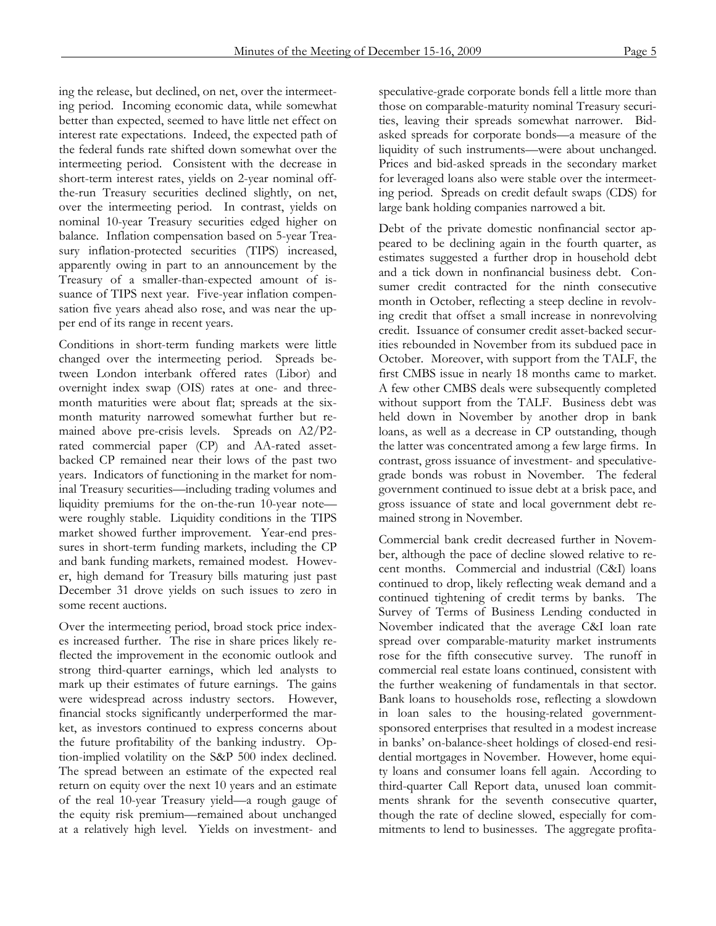ing the release, but declined, on net, over the intermeeting period. Incoming economic data, while somewhat better than expected, seemed to have little net effect on interest rate expectations. Indeed, the expected path of the federal funds rate shifted down somewhat over the intermeeting period. Consistent with the decrease in short-term interest rates, yields on 2-year nominal offthe-run Treasury securities declined slightly, on net, over the intermeeting period. In contrast, yields on nominal 10-year Treasury securities edged higher on balance. Inflation compensation based on 5-year Treasury inflation-protected securities (TIPS) increased, apparently owing in part to an announcement by the Treasury of a smaller-than-expected amount of issuance of TIPS next year. Five-year inflation compensation five years ahead also rose, and was near the upper end of its range in recent years.

Conditions in short-term funding markets were little changed over the intermeeting period. Spreads between London interbank offered rates (Libor) and overnight index swap (OIS) rates at one- and threemonth maturities were about flat; spreads at the sixmonth maturity narrowed somewhat further but remained above pre-crisis levels. Spreads on A2/P2 rated commercial paper (CP) and AA-rated assetbacked CP remained near their lows of the past two years. Indicators of functioning in the market for nominal Treasury securities—including trading volumes and liquidity premiums for the on-the-run 10-year note were roughly stable. Liquidity conditions in the TIPS market showed further improvement. Year-end pressures in short-term funding markets, including the CP and bank funding markets, remained modest. However, high demand for Treasury bills maturing just past December 31 drove yields on such issues to zero in some recent auctions.

Over the intermeeting period, broad stock price indexes increased further. The rise in share prices likely reflected the improvement in the economic outlook and strong third-quarter earnings, which led analysts to mark up their estimates of future earnings. The gains were widespread across industry sectors. However, financial stocks significantly underperformed the market, as investors continued to express concerns about the future profitability of the banking industry. Option-implied volatility on the S&P 500 index declined. The spread between an estimate of the expected real return on equity over the next 10 years and an estimate of the real 10-year Treasury yield—a rough gauge of the equity risk premium—remained about unchanged at a relatively high level. Yields on investment- and

speculative-grade corporate bonds fell a little more than those on comparable-maturity nominal Treasury securities, leaving their spreads somewhat narrower. Bidasked spreads for corporate bonds—a measure of the liquidity of such instruments—were about unchanged. Prices and bid-asked spreads in the secondary market for leveraged loans also were stable over the intermeeting period. Spreads on credit default swaps (CDS) for large bank holding companies narrowed a bit.

Debt of the private domestic nonfinancial sector appeared to be declining again in the fourth quarter, as estimates suggested a further drop in household debt and a tick down in nonfinancial business debt. Consumer credit contracted for the ninth consecutive month in October, reflecting a steep decline in revolving credit that offset a small increase in nonrevolving credit. Issuance of consumer credit asset-backed securities rebounded in November from its subdued pace in October. Moreover, with support from the TALF, the first CMBS issue in nearly 18 months came to market. A few other CMBS deals were subsequently completed without support from the TALF. Business debt was held down in November by another drop in bank loans, as well as a decrease in CP outstanding, though the latter was concentrated among a few large firms. In contrast, gross issuance of investment- and speculativegrade bonds was robust in November. The federal government continued to issue debt at a brisk pace, and gross issuance of state and local government debt remained strong in November.

Commercial bank credit decreased further in November, although the pace of decline slowed relative to recent months. Commercial and industrial (C&I) loans continued to drop, likely reflecting weak demand and a continued tightening of credit terms by banks. The Survey of Terms of Business Lending conducted in November indicated that the average C&I loan rate spread over comparable-maturity market instruments rose for the fifth consecutive survey. The runoff in commercial real estate loans continued, consistent with the further weakening of fundamentals in that sector. Bank loans to households rose, reflecting a slowdown in loan sales to the housing-related governmentsponsored enterprises that resulted in a modest increase in banks' on-balance-sheet holdings of closed-end residential mortgages in November. However, home equity loans and consumer loans fell again. According to third-quarter Call Report data, unused loan commitments shrank for the seventh consecutive quarter, though the rate of decline slowed, especially for commitments to lend to businesses. The aggregate profita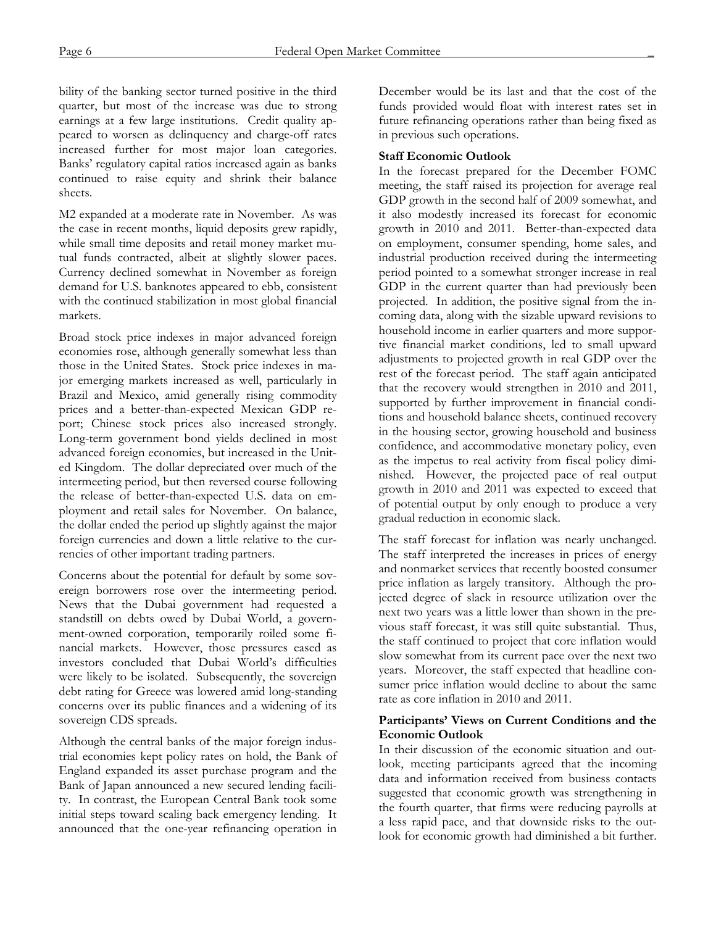bility of the banking sector turned positive in the third quarter, but most of the increase was due to strong earnings at a few large institutions. Credit quality appeared to worsen as delinquency and charge-off rates increased further for most major loan categories. Banks' regulatory capital ratios increased again as banks continued to raise equity and shrink their balance sheets.

M2 expanded at a moderate rate in November. As was the case in recent months, liquid deposits grew rapidly, while small time deposits and retail money market mutual funds contracted, albeit at slightly slower paces. Currency declined somewhat in November as foreign demand for U.S. banknotes appeared to ebb, consistent with the continued stabilization in most global financial markets.

Broad stock price indexes in major advanced foreign economies rose, although generally somewhat less than those in the United States. Stock price indexes in major emerging markets increased as well, particularly in Brazil and Mexico, amid generally rising commodity prices and a better-than-expected Mexican GDP report; Chinese stock prices also increased strongly. Long-term government bond yields declined in most advanced foreign economies, but increased in the United Kingdom. The dollar depreciated over much of the intermeeting period, but then reversed course following the release of better-than-expected U.S. data on employment and retail sales for November. On balance, the dollar ended the period up slightly against the major foreign currencies and down a little relative to the currencies of other important trading partners.

Concerns about the potential for default by some sovereign borrowers rose over the intermeeting period. News that the Dubai government had requested a standstill on debts owed by Dubai World, a government-owned corporation, temporarily roiled some financial markets. However, those pressures eased as investors concluded that Dubai World's difficulties were likely to be isolated. Subsequently, the sovereign debt rating for Greece was lowered amid long-standing concerns over its public finances and a widening of its sovereign CDS spreads.

Although the central banks of the major foreign industrial economies kept policy rates on hold, the Bank of England expanded its asset purchase program and the Bank of Japan announced a new secured lending facility. In contrast, the European Central Bank took some initial steps toward scaling back emergency lending. It announced that the one-year refinancing operation in December would be its last and that the cost of the funds provided would float with interest rates set in future refinancing operations rather than being fixed as in previous such operations.

# **Staff Economic Outlook**

In the forecast prepared for the December FOMC meeting, the staff raised its projection for average real GDP growth in the second half of 2009 somewhat, and it also modestly increased its forecast for economic growth in 2010 and 2011. Better-than-expected data on employment, consumer spending, home sales, and industrial production received during the intermeeting period pointed to a somewhat stronger increase in real GDP in the current quarter than had previously been projected. In addition, the positive signal from the incoming data, along with the sizable upward revisions to household income in earlier quarters and more supportive financial market conditions, led to small upward adjustments to projected growth in real GDP over the rest of the forecast period. The staff again anticipated that the recovery would strengthen in 2010 and 2011, supported by further improvement in financial conditions and household balance sheets, continued recovery in the housing sector, growing household and business confidence, and accommodative monetary policy, even as the impetus to real activity from fiscal policy diminished. However, the projected pace of real output growth in 2010 and 2011 was expected to exceed that of potential output by only enough to produce a very gradual reduction in economic slack.

The staff forecast for inflation was nearly unchanged. The staff interpreted the increases in prices of energy and nonmarket services that recently boosted consumer price inflation as largely transitory. Although the projected degree of slack in resource utilization over the next two years was a little lower than shown in the previous staff forecast, it was still quite substantial. Thus, the staff continued to project that core inflation would slow somewhat from its current pace over the next two years. Moreover, the staff expected that headline consumer price inflation would decline to about the same rate as core inflation in 2010 and 2011.

# **Participants' Views on Current Conditions and the Economic Outlook**

In their discussion of the economic situation and outlook, meeting participants agreed that the incoming data and information received from business contacts suggested that economic growth was strengthening in the fourth quarter, that firms were reducing payrolls at a less rapid pace, and that downside risks to the outlook for economic growth had diminished a bit further.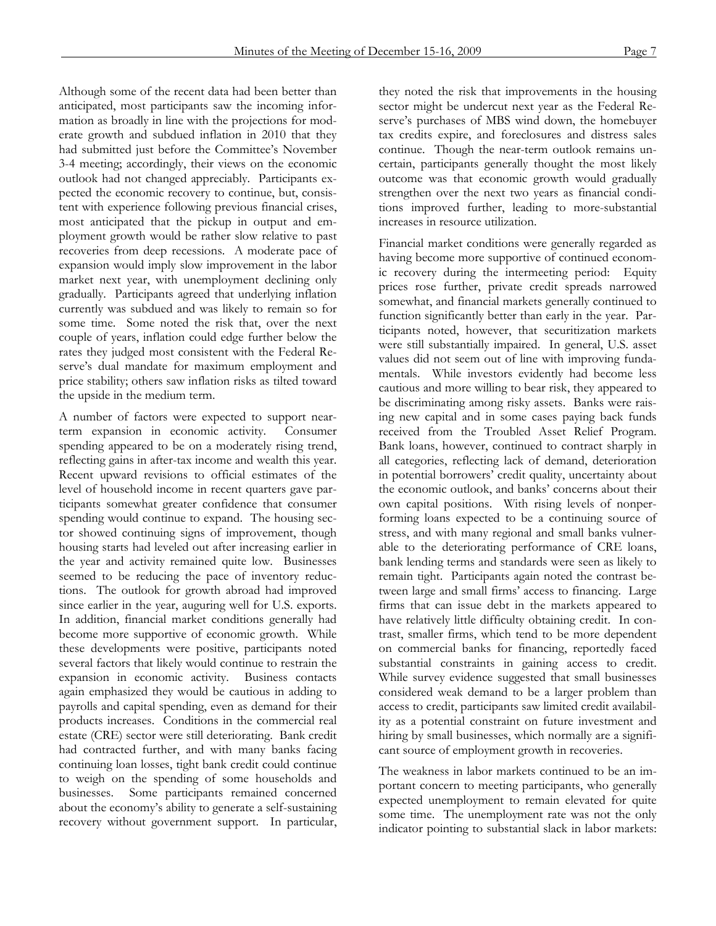Although some of the recent data had been better than anticipated, most participants saw the incoming information as broadly in line with the projections for moderate growth and subdued inflation in 2010 that they had submitted just before the Committee's November 3-4 meeting; accordingly, their views on the economic outlook had not changed appreciably. Participants expected the economic recovery to continue, but, consistent with experience following previous financial crises, most anticipated that the pickup in output and employment growth would be rather slow relative to past recoveries from deep recessions. A moderate pace of expansion would imply slow improvement in the labor market next year, with unemployment declining only gradually. Participants agreed that underlying inflation currently was subdued and was likely to remain so for some time. Some noted the risk that, over the next couple of years, inflation could edge further below the rates they judged most consistent with the Federal Reserve's dual mandate for maximum employment and price stability; others saw inflation risks as tilted toward the upside in the medium term.

A number of factors were expected to support nearterm expansion in economic activity. Consumer spending appeared to be on a moderately rising trend, reflecting gains in after-tax income and wealth this year. Recent upward revisions to official estimates of the level of household income in recent quarters gave participants somewhat greater confidence that consumer spending would continue to expand. The housing sector showed continuing signs of improvement, though housing starts had leveled out after increasing earlier in the year and activity remained quite low. Businesses seemed to be reducing the pace of inventory reductions. The outlook for growth abroad had improved since earlier in the year, auguring well for U.S. exports. In addition, financial market conditions generally had become more supportive of economic growth. While these developments were positive, participants noted several factors that likely would continue to restrain the expansion in economic activity. Business contacts again emphasized they would be cautious in adding to payrolls and capital spending, even as demand for their products increases. Conditions in the commercial real estate (CRE) sector were still deteriorating. Bank credit had contracted further, and with many banks facing continuing loan losses, tight bank credit could continue to weigh on the spending of some households and businesses. Some participants remained concerned about the economy's ability to generate a self-sustaining recovery without government support. In particular,

they noted the risk that improvements in the housing sector might be undercut next year as the Federal Reserve's purchases of MBS wind down, the homebuyer tax credits expire, and foreclosures and distress sales continue. Though the near-term outlook remains uncertain, participants generally thought the most likely outcome was that economic growth would gradually strengthen over the next two years as financial conditions improved further, leading to more-substantial increases in resource utilization.

Financial market conditions were generally regarded as having become more supportive of continued economic recovery during the intermeeting period: Equity prices rose further, private credit spreads narrowed somewhat, and financial markets generally continued to function significantly better than early in the year. Participants noted, however, that securitization markets were still substantially impaired. In general, U.S. asset values did not seem out of line with improving fundamentals. While investors evidently had become less cautious and more willing to bear risk, they appeared to be discriminating among risky assets. Banks were raising new capital and in some cases paying back funds received from the Troubled Asset Relief Program. Bank loans, however, continued to contract sharply in all categories, reflecting lack of demand, deterioration in potential borrowers' credit quality, uncertainty about the economic outlook, and banks' concerns about their own capital positions. With rising levels of nonperforming loans expected to be a continuing source of stress, and with many regional and small banks vulnerable to the deteriorating performance of CRE loans, bank lending terms and standards were seen as likely to remain tight. Participants again noted the contrast between large and small firms' access to financing. Large firms that can issue debt in the markets appeared to have relatively little difficulty obtaining credit. In contrast, smaller firms, which tend to be more dependent on commercial banks for financing, reportedly faced substantial constraints in gaining access to credit. While survey evidence suggested that small businesses considered weak demand to be a larger problem than access to credit, participants saw limited credit availability as a potential constraint on future investment and hiring by small businesses, which normally are a significant source of employment growth in recoveries.

The weakness in labor markets continued to be an important concern to meeting participants, who generally expected unemployment to remain elevated for quite some time. The unemployment rate was not the only indicator pointing to substantial slack in labor markets: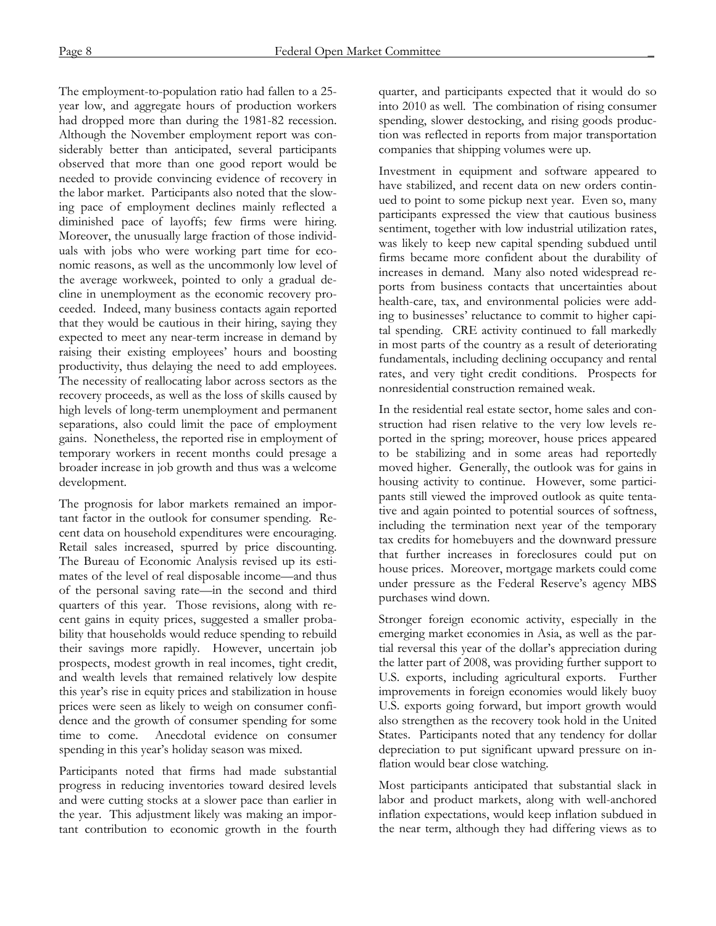The employment-to-population ratio had fallen to a 25 year low, and aggregate hours of production workers had dropped more than during the 1981-82 recession. Although the November employment report was considerably better than anticipated, several participants observed that more than one good report would be needed to provide convincing evidence of recovery in the labor market. Participants also noted that the slowing pace of employment declines mainly reflected a diminished pace of layoffs; few firms were hiring. Moreover, the unusually large fraction of those individuals with jobs who were working part time for economic reasons, as well as the uncommonly low level of the average workweek, pointed to only a gradual decline in unemployment as the economic recovery proceeded. Indeed, many business contacts again reported that they would be cautious in their hiring, saying they expected to meet any near-term increase in demand by raising their existing employees' hours and boosting productivity, thus delaying the need to add employees. The necessity of reallocating labor across sectors as the recovery proceeds, as well as the loss of skills caused by high levels of long-term unemployment and permanent separations, also could limit the pace of employment gains. Nonetheless, the reported rise in employment of temporary workers in recent months could presage a broader increase in job growth and thus was a welcome development.

The prognosis for labor markets remained an important factor in the outlook for consumer spending. Recent data on household expenditures were encouraging. Retail sales increased, spurred by price discounting. The Bureau of Economic Analysis revised up its estimates of the level of real disposable income—and thus of the personal saving rate—in the second and third quarters of this year. Those revisions, along with recent gains in equity prices, suggested a smaller probability that households would reduce spending to rebuild their savings more rapidly. However, uncertain job prospects, modest growth in real incomes, tight credit, and wealth levels that remained relatively low despite this year's rise in equity prices and stabilization in house prices were seen as likely to weigh on consumer confidence and the growth of consumer spending for some time to come. Anecdotal evidence on consumer spending in this year's holiday season was mixed.

Participants noted that firms had made substantial progress in reducing inventories toward desired levels and were cutting stocks at a slower pace than earlier in the year. This adjustment likely was making an important contribution to economic growth in the fourth quarter, and participants expected that it would do so into 2010 as well. The combination of rising consumer spending, slower destocking, and rising goods production was reflected in reports from major transportation companies that shipping volumes were up.

Investment in equipment and software appeared to have stabilized, and recent data on new orders continued to point to some pickup next year. Even so, many participants expressed the view that cautious business sentiment, together with low industrial utilization rates, was likely to keep new capital spending subdued until firms became more confident about the durability of increases in demand. Many also noted widespread reports from business contacts that uncertainties about health-care, tax, and environmental policies were adding to businesses' reluctance to commit to higher capital spending. CRE activity continued to fall markedly in most parts of the country as a result of deteriorating fundamentals, including declining occupancy and rental rates, and very tight credit conditions. Prospects for nonresidential construction remained weak.

In the residential real estate sector, home sales and construction had risen relative to the very low levels reported in the spring; moreover, house prices appeared to be stabilizing and in some areas had reportedly moved higher. Generally, the outlook was for gains in housing activity to continue. However, some participants still viewed the improved outlook as quite tentative and again pointed to potential sources of softness, including the termination next year of the temporary tax credits for homebuyers and the downward pressure that further increases in foreclosures could put on house prices. Moreover, mortgage markets could come under pressure as the Federal Reserve's agency MBS purchases wind down.

Stronger foreign economic activity, especially in the emerging market economies in Asia, as well as the partial reversal this year of the dollar's appreciation during the latter part of 2008, was providing further support to U.S. exports, including agricultural exports. Further improvements in foreign economies would likely buoy U.S. exports going forward, but import growth would also strengthen as the recovery took hold in the United States. Participants noted that any tendency for dollar depreciation to put significant upward pressure on inflation would bear close watching.

Most participants anticipated that substantial slack in labor and product markets, along with well-anchored inflation expectations, would keep inflation subdued in the near term, although they had differing views as to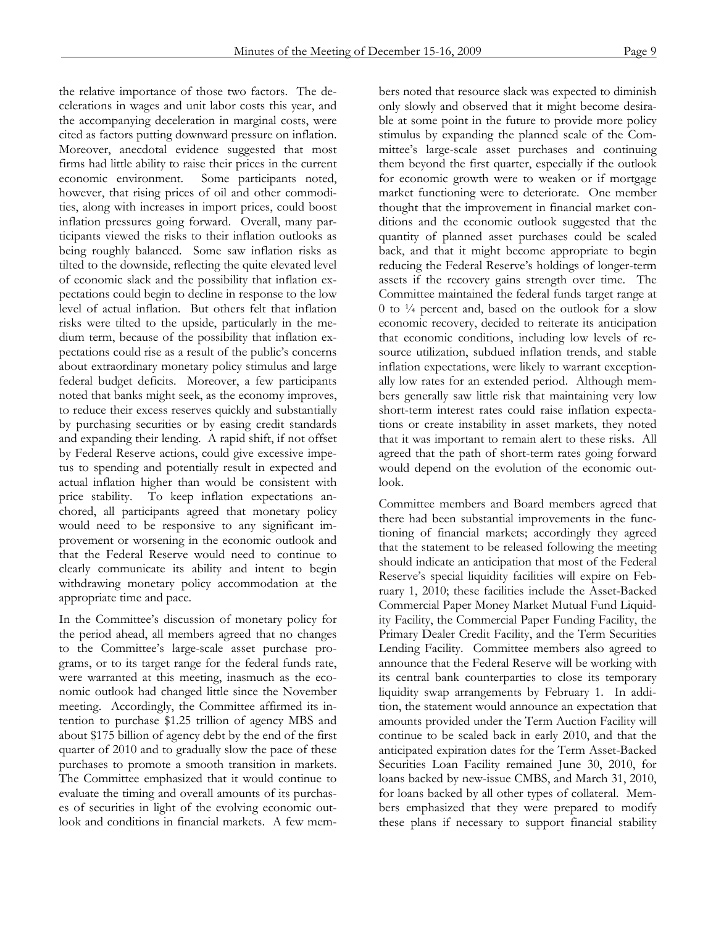the relative importance of those two factors. The decelerations in wages and unit labor costs this year, and the accompanying deceleration in marginal costs, were cited as factors putting downward pressure on inflation. Moreover, anecdotal evidence suggested that most firms had little ability to raise their prices in the current economic environment. Some participants noted, however, that rising prices of oil and other commodities, along with increases in import prices, could boost inflation pressures going forward. Overall, many participants viewed the risks to their inflation outlooks as being roughly balanced. Some saw inflation risks as tilted to the downside, reflecting the quite elevated level of economic slack and the possibility that inflation expectations could begin to decline in response to the low level of actual inflation. But others felt that inflation risks were tilted to the upside, particularly in the medium term, because of the possibility that inflation expectations could rise as a result of the public's concerns about extraordinary monetary policy stimulus and large federal budget deficits. Moreover, a few participants noted that banks might seek, as the economy improves, to reduce their excess reserves quickly and substantially by purchasing securities or by easing credit standards and expanding their lending. A rapid shift, if not offset by Federal Reserve actions, could give excessive impetus to spending and potentially result in expected and actual inflation higher than would be consistent with price stability. To keep inflation expectations anchored, all participants agreed that monetary policy would need to be responsive to any significant improvement or worsening in the economic outlook and that the Federal Reserve would need to continue to clearly communicate its ability and intent to begin withdrawing monetary policy accommodation at the appropriate time and pace.

In the Committee's discussion of monetary policy for the period ahead, all members agreed that no changes to the Committee's large-scale asset purchase programs, or to its target range for the federal funds rate, were warranted at this meeting, inasmuch as the economic outlook had changed little since the November meeting. Accordingly, the Committee affirmed its intention to purchase \$1.25 trillion of agency MBS and about \$175 billion of agency debt by the end of the first quarter of 2010 and to gradually slow the pace of these purchases to promote a smooth transition in markets. The Committee emphasized that it would continue to evaluate the timing and overall amounts of its purchases of securities in light of the evolving economic outlook and conditions in financial markets. A few mem-

bers noted that resource slack was expected to diminish only slowly and observed that it might become desirable at some point in the future to provide more policy stimulus by expanding the planned scale of the Committee's large-scale asset purchases and continuing them beyond the first quarter, especially if the outlook for economic growth were to weaken or if mortgage market functioning were to deteriorate. One member thought that the improvement in financial market conditions and the economic outlook suggested that the quantity of planned asset purchases could be scaled back, and that it might become appropriate to begin reducing the Federal Reserve's holdings of longer-term assets if the recovery gains strength over time. The Committee maintained the federal funds target range at  $0$  to  $\frac{1}{4}$  percent and, based on the outlook for a slow economic recovery, decided to reiterate its anticipation that economic conditions, including low levels of resource utilization, subdued inflation trends, and stable inflation expectations, were likely to warrant exceptionally low rates for an extended period. Although members generally saw little risk that maintaining very low short-term interest rates could raise inflation expectations or create instability in asset markets, they noted that it was important to remain alert to these risks. All agreed that the path of short-term rates going forward would depend on the evolution of the economic outlook.

Committee members and Board members agreed that there had been substantial improvements in the functioning of financial markets; accordingly they agreed that the statement to be released following the meeting should indicate an anticipation that most of the Federal Reserve's special liquidity facilities will expire on February 1, 2010; these facilities include the Asset-Backed Commercial Paper Money Market Mutual Fund Liquidity Facility, the Commercial Paper Funding Facility, the Primary Dealer Credit Facility, and the Term Securities Lending Facility. Committee members also agreed to announce that the Federal Reserve will be working with its central bank counterparties to close its temporary liquidity swap arrangements by February 1. In addition, the statement would announce an expectation that amounts provided under the Term Auction Facility will continue to be scaled back in early 2010, and that the anticipated expiration dates for the Term Asset-Backed Securities Loan Facility remained June 30, 2010, for loans backed by new-issue CMBS, and March 31, 2010, for loans backed by all other types of collateral. Members emphasized that they were prepared to modify these plans if necessary to support financial stability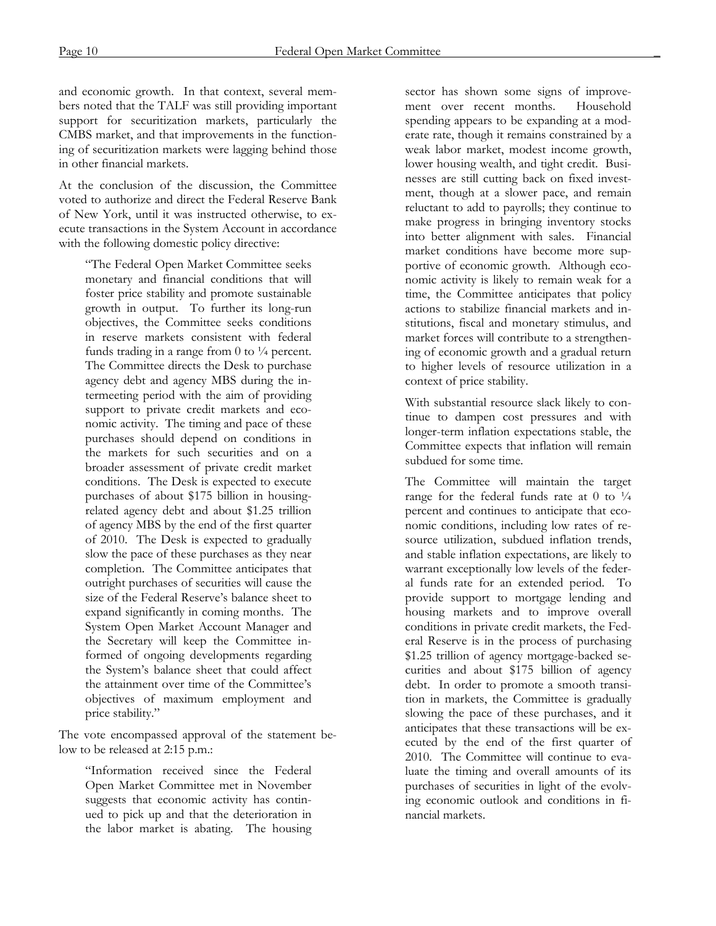and economic growth. In that context, several members noted that the TALF was still providing important support for securitization markets, particularly the CMBS market, and that improvements in the functioning of securitization markets were lagging behind those in other financial markets.

At the conclusion of the discussion, the Committee voted to authorize and direct the Federal Reserve Bank of New York, until it was instructed otherwise, to execute transactions in the System Account in accordance with the following domestic policy directive:

"The Federal Open Market Committee seeks monetary and financial conditions that will foster price stability and promote sustainable growth in output. To further its long-run objectives, the Committee seeks conditions in reserve markets consistent with federal funds trading in a range from 0 to  $\frac{1}{4}$  percent. The Committee directs the Desk to purchase agency debt and agency MBS during the intermeeting period with the aim of providing support to private credit markets and economic activity. The timing and pace of these purchases should depend on conditions in the markets for such securities and on a broader assessment of private credit market conditions. The Desk is expected to execute purchases of about \$175 billion in housingrelated agency debt and about \$1.25 trillion of agency MBS by the end of the first quarter of 2010. The Desk is expected to gradually slow the pace of these purchases as they near completion. The Committee anticipates that outright purchases of securities will cause the size of the Federal Reserve's balance sheet to expand significantly in coming months. The System Open Market Account Manager and the Secretary will keep the Committee informed of ongoing developments regarding the System's balance sheet that could affect the attainment over time of the Committee's objectives of maximum employment and price stability."

The vote encompassed approval of the statement below to be released at 2:15 p.m.:

"Information received since the Federal Open Market Committee met in November suggests that economic activity has continued to pick up and that the deterioration in the labor market is abating. The housing

sector has shown some signs of improvement over recent months. Household spending appears to be expanding at a moderate rate, though it remains constrained by a weak labor market, modest income growth, lower housing wealth, and tight credit. Businesses are still cutting back on fixed investment, though at a slower pace, and remain reluctant to add to payrolls; they continue to make progress in bringing inventory stocks into better alignment with sales. Financial market conditions have become more supportive of economic growth. Although economic activity is likely to remain weak for a time, the Committee anticipates that policy actions to stabilize financial markets and institutions, fiscal and monetary stimulus, and market forces will contribute to a strengthening of economic growth and a gradual return to higher levels of resource utilization in a context of price stability.

With substantial resource slack likely to continue to dampen cost pressures and with longer-term inflation expectations stable, the Committee expects that inflation will remain subdued for some time.

The Committee will maintain the target range for the federal funds rate at 0 to  $\frac{1}{4}$ percent and continues to anticipate that economic conditions, including low rates of resource utilization, subdued inflation trends, and stable inflation expectations, are likely to warrant exceptionally low levels of the federal funds rate for an extended period. To provide support to mortgage lending and housing markets and to improve overall conditions in private credit markets, the Federal Reserve is in the process of purchasing \$1.25 trillion of agency mortgage-backed securities and about \$175 billion of agency debt. In order to promote a smooth transition in markets, the Committee is gradually slowing the pace of these purchases, and it anticipates that these transactions will be executed by the end of the first quarter of 2010. The Committee will continue to evaluate the timing and overall amounts of its purchases of securities in light of the evolving economic outlook and conditions in financial markets.